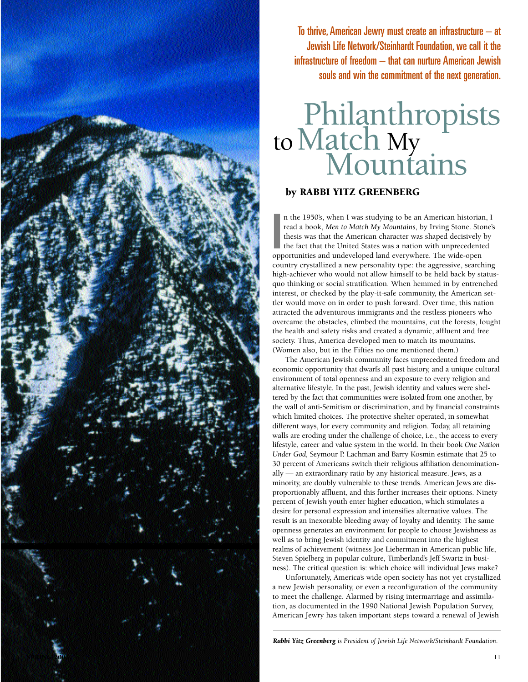

To thrive, American Jewry must create an infrastructure – at Jewish Life Network/Steinhardt Foundation, we call it the infrastructure of freedom – that can nurture American Jewish souls and win the commitment of the next generation.

## Philanthropists to Match My

## by RABBI YITZ GREENBERG

I n the 1950's, when I was studying to be an American historian, I read a book, *Men to Match My Mountains*, by Irving Stone. Stone's thesis was that the American character was shaped decisively by the fact that the United States was a nation with unprecedented opportunities and undeveloped land everywhere. The wide-open country crystallized a new personality type: the aggressive, searching high-achiever who would not allow himself to be held back by statusquo thinking or social stratification. When hemmed in by entrenched interest, or checked by the play-it-safe community, the American settler would move on in order to push forward. Over time, this nation attracted the adventurous immigrants and the restless pioneers who overcame the obstacles, climbed the mountains, cut the forests, fought the health and safety risks and created a dynamic, affluent and free society. Thus, America developed men to match its mountains. (Women also, but in the Fifties no one mentioned them.)

The American Jewish community faces unprecedented freedom and economic opportunity that dwarfs all past history, and a unique cultural environment of total openness and an exposure to every religion and alternative lifestyle. In the past, Jewish identity and values were sheltered by the fact that communities were isolated from one another, by the wall of anti-Semitism or discrimination, and by financial constraints which limited choices. The protective shelter operated, in somewhat different ways, for every community and religion. Today, all retaining walls are eroding under the challenge of choice, i.e., the access to every lifestyle, career and value system in the world. In their book *One Nation Under God,* Seymour P. Lachman and Barry Kosmin estimate that 25 to 30 percent of Americans switch their religious affiliation denominationally — an extraordinary ratio by any historical measure. Jews, as a minority, are doubly vulnerable to these trends. American Jews are disproportionably affluent, and this further increases their options. Ninety percent of Jewish youth enter higher education, which stimulates a desire for personal expression and intensifies alternative values. The result is an inexorable bleeding away of loyalty and identity. The same openness generates an environment for people to choose Jewishness as well as to bring Jewish identity and commitment into the highest realms of achievement (witness Joe Lieberman in American public life, Steven Spielberg in popular culture, Timberland's Jeff Swartz in business). The critical question is: which choice will individual Jews make?

Unfortunately, America's wide open society has not yet crystallized a new Jewish personality, or even a reconfiguration of the community to meet the challenge. Alarmed by rising intermarriage and assimilation, as documented in the 1990 National Jewish Population Survey, American Jewry has taken important steps toward a renewal of Jewish

*Rabbi Yitz Greenberg is President of Jewish Life Network/Steinhardt Foundation.*